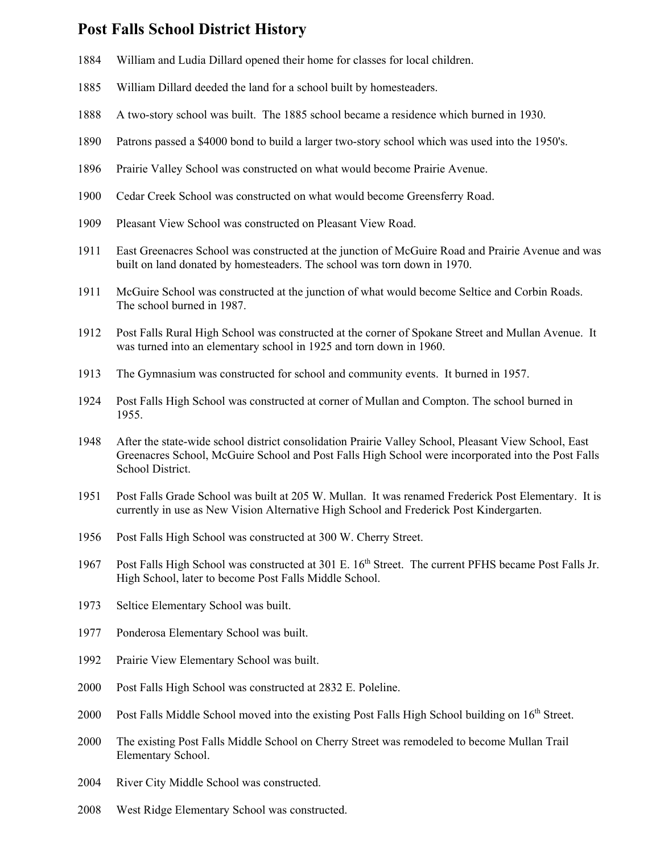## **Post Falls School District History**

- 1884 William and Ludia Dillard opened their home for classes for local children.
- 1885 William Dillard deeded the land for a school built by homesteaders.
- 1888 A two-story school was built. The 1885 school became a residence which burned in 1930.
- 1890 Patrons passed a \$4000 bond to build a larger two-story school which was used into the 1950's.
- 1896 Prairie Valley School was constructed on what would become Prairie Avenue.
- 1900 Cedar Creek School was constructed on what would become Greensferry Road.
- 1909 Pleasant View School was constructed on Pleasant View Road.
- 1911 East Greenacres School was constructed at the junction of McGuire Road and Prairie Avenue and was built on land donated by homesteaders. The school was torn down in 1970.
- 1911 McGuire School was constructed at the junction of what would become Seltice and Corbin Roads. The school burned in 1987.
- 1912 Post Falls Rural High School was constructed at the corner of Spokane Street and Mullan Avenue. It was turned into an elementary school in 1925 and torn down in 1960.
- 1913 The Gymnasium was constructed for school and community events. It burned in 1957.
- 1924 Post Falls High School was constructed at corner of Mullan and Compton. The school burned in 1955.
- 1948 After the state-wide school district consolidation Prairie Valley School, Pleasant View School, East Greenacres School, McGuire School and Post Falls High School were incorporated into the Post Falls School District.
- 1951 Post Falls Grade School was built at 205 W. Mullan. It was renamed Frederick Post Elementary. It is currently in use as New Vision Alternative High School and Frederick Post Kindergarten.
- 1956 Post Falls High School was constructed at 300 W. Cherry Street.
- 1967 Post Falls High School was constructed at 301 E. 16<sup>th</sup> Street. The current PFHS became Post Falls Jr. High School, later to become Post Falls Middle School.
- 1973 Seltice Elementary School was built.
- 1977 Ponderosa Elementary School was built.
- 1992 Prairie View Elementary School was built.
- 2000 Post Falls High School was constructed at 2832 E. Poleline.
- 2000 Post Falls Middle School moved into the existing Post Falls High School building on 16<sup>th</sup> Street.
- 2000 The existing Post Falls Middle School on Cherry Street was remodeled to become Mullan Trail Elementary School.
- 2004 River City Middle School was constructed.
- 2008 West Ridge Elementary School was constructed.